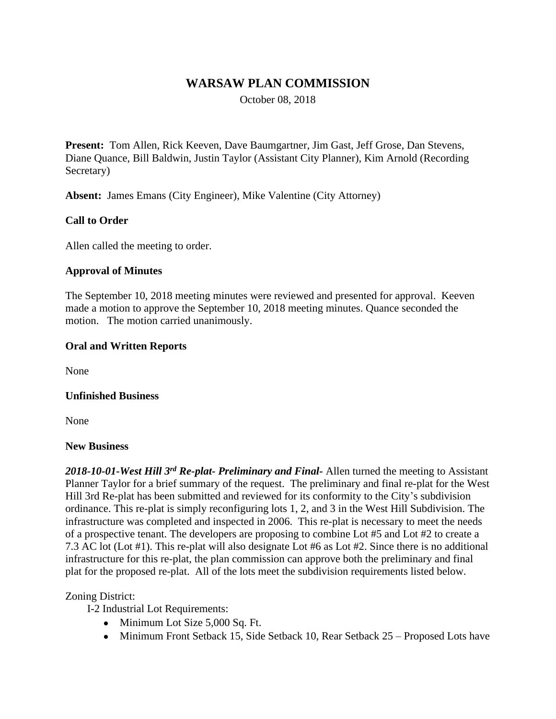# **WARSAW PLAN COMMISSION**

October 08, 2018

**Present:** Tom Allen, Rick Keeven, Dave Baumgartner, Jim Gast, Jeff Grose, Dan Stevens, Diane Quance, Bill Baldwin, Justin Taylor (Assistant City Planner), Kim Arnold (Recording Secretary)

**Absent:** James Emans (City Engineer), Mike Valentine (City Attorney)

### **Call to Order**

Allen called the meeting to order.

### **Approval of Minutes**

The September 10, 2018 meeting minutes were reviewed and presented for approval. Keeven made a motion to approve the September 10, 2018 meeting minutes. Quance seconded the motion. The motion carried unanimously.

### **Oral and Written Reports**

None

#### **Unfinished Business**

None

#### **New Business**

*2018-10-01-West Hill 3rd Re-plat- Preliminary and Final-* Allen turned the meeting to Assistant Planner Taylor for a brief summary of the request. The preliminary and final re-plat for the West Hill 3rd Re-plat has been submitted and reviewed for its conformity to the City's subdivision ordinance. This re-plat is simply reconfiguring lots 1, 2, and 3 in the West Hill Subdivision. The infrastructure was completed and inspected in 2006. This re-plat is necessary to meet the needs of a prospective tenant. The developers are proposing to combine Lot #5 and Lot #2 to create a 7.3 AC lot (Lot #1). This re-plat will also designate Lot #6 as Lot #2. Since there is no additional infrastructure for this re-plat, the plan commission can approve both the preliminary and final plat for the proposed re-plat. All of the lots meet the subdivision requirements listed below.

### Zoning District:

I-2 Industrial Lot Requirements:

- Minimum Lot Size 5,000 Sq. Ft.
- Minimum Front Setback 15, Side Setback 10, Rear Setback 25 Proposed Lots have